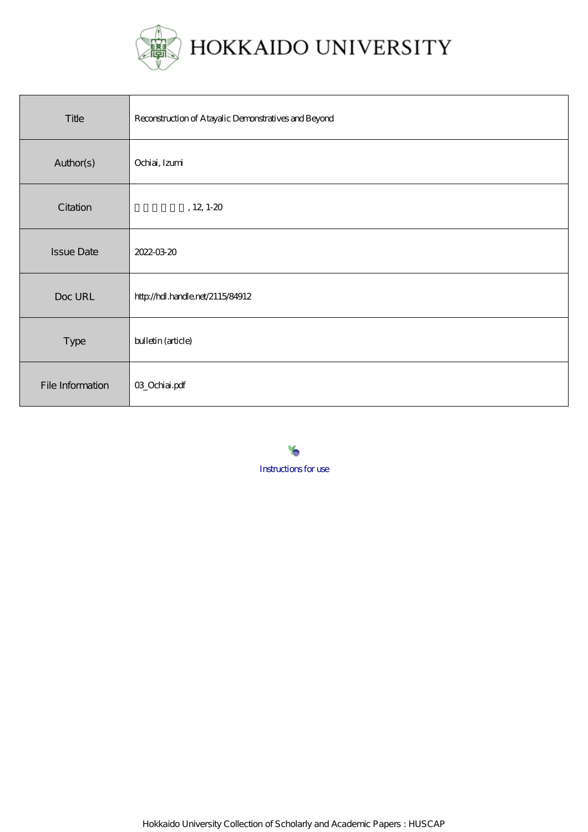

| Title             | Reconstruction of Atayalic Demonstratives and Beyond |
|-------------------|------------------------------------------------------|
| Author(s)         | Ochiai, Izumi                                        |
| Citation          | $, 12, 1 - 20$                                       |
| <b>Issue Date</b> | 2022-03-20                                           |
| Doc URL           | http://hdl.handle.net/2115/84912                     |
| Type              | bulletin (article)                                   |
| File Information  | 03_Ochiai.pdf                                        |

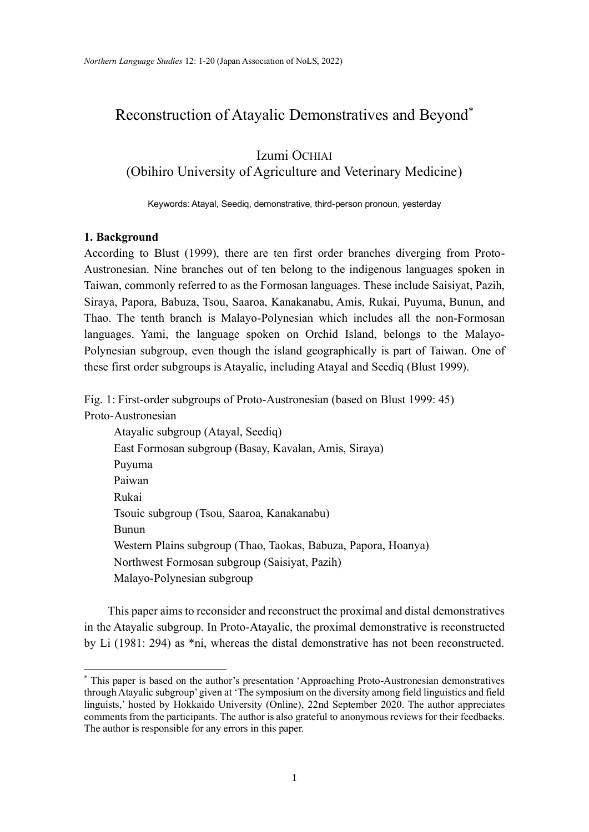# Reconstruction of Atayalic Demonstratives and Beyond\*

Izumi OCHIAI

(Obihiro University of Agriculture and Veterinary Medicine)

Keywords: Atayal, Seediq, demonstrative, third-person pronoun, yesterday

# **1. Background**

According to Blust (1999), there are ten first order branches diverging from Proto-Austronesian. Nine branches out of ten belong to the indigenous languages spoken in Taiwan, commonly referred to as the Formosan languages. These include Saisiyat, Pazih, Siraya, Papora, Babuza, Tsou, Saaroa, Kanakanabu, Amis, Rukai, Puyuma, Bunun, and Thao. The tenth branch is Malayo-Polynesian which includes all the non-Formosan languages. Yami, the language spoken on Orchid Island, belongs to the Malayo-Polynesian subgroup, even though the island geographically is part of Taiwan. One of these first order subgroups is Atayalic, including Atayal and Seediq (Blust 1999).

Fig. 1: First-order subgroups of Proto-Austronesian (based on Blust 1999: 45) Proto-Austronesian

 Atayalic subgroup (Atayal, Seediq) East Formosan subgroup (Basay, Kavalan, Amis, Siraya) Puyuma Paiwan Rukai Tsouic subgroup (Tsou, Saaroa, Kanakanabu) Bunun Western Plains subgroup (Thao, Taokas, Babuza, Papora, Hoanya) Northwest Formosan subgroup (Saisiyat, Pazih) Malayo-Polynesian subgroup

 This paper aims to reconsider and reconstruct the proximal and distal demonstratives in the Atayalic subgroup. In Proto-Atayalic, the proximal demonstrative is reconstructed by Li (1981: 294) as \*ni, whereas the distal demonstrative has not been reconstructed.

<sup>\*</sup> This paper is based on the author's presentation 'Approaching Proto-Austronesian demonstratives through Atayalic subgroup' given at 'The symposium on the diversity among field linguistics and field linguists,' hosted by Hokkaido University (Online), 22nd September 2020. The author appreciates comments from the participants. The author is also grateful to anonymous reviews for their feedbacks. The author is responsible for any errors in this paper.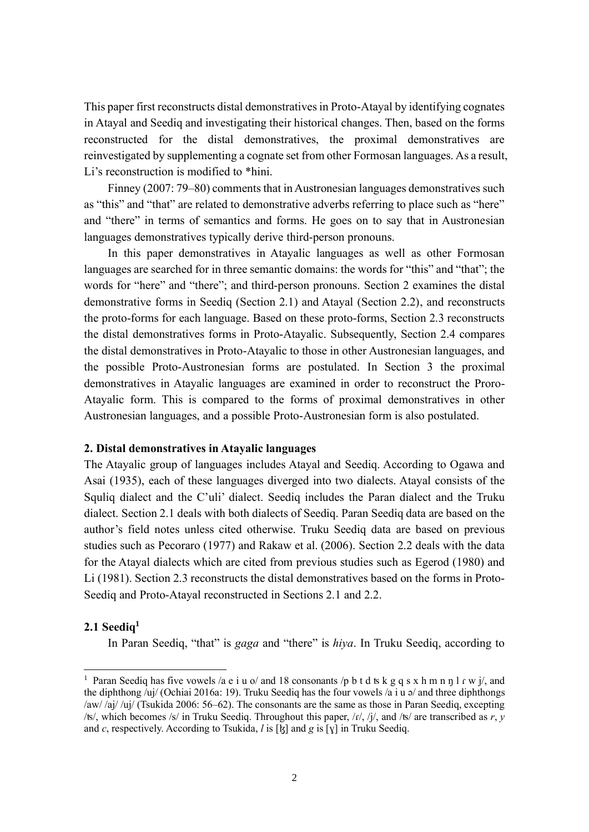This paper first reconstructs distal demonstratives in Proto-Atayal by identifying cognates in Atayal and Seediq and investigating their historical changes. Then, based on the forms reconstructed for the distal demonstratives, the proximal demonstratives are reinvestigated by supplementing a cognate set from other Formosan languages. As a result, Li's reconstruction is modified to \*hini.

 Finney (2007: 79–80) comments that in Austronesian languages demonstratives such as "this" and "that" are related to demonstrative adverbs referring to place such as "here" and "there" in terms of semantics and forms. He goes on to say that in Austronesian languages demonstratives typically derive third-person pronouns.

 In this paper demonstratives in Atayalic languages as well as other Formosan languages are searched for in three semantic domains: the words for "this" and "that"; the words for "here" and "there"; and third-person pronouns. Section 2 examines the distal demonstrative forms in Seediq (Section 2.1) and Atayal (Section 2.2), and reconstructs the proto-forms for each language. Based on these proto-forms, Section 2.3 reconstructs the distal demonstratives forms in Proto-Atayalic. Subsequently, Section 2.4 compares the distal demonstratives in Proto-Atayalic to those in other Austronesian languages, and the possible Proto-Austronesian forms are postulated. In Section 3 the proximal demonstratives in Atayalic languages are examined in order to reconstruct the Proro-Atayalic form. This is compared to the forms of proximal demonstratives in other Austronesian languages, and a possible Proto-Austronesian form is also postulated.

## **2. Distal demonstratives in Atayalic languages**

The Atayalic group of languages includes Atayal and Seediq. According to Ogawa and Asai (1935), each of these languages diverged into two dialects. Atayal consists of the Squliq dialect and the C'uli' dialect. Seediq includes the Paran dialect and the Truku dialect. Section 2.1 deals with both dialects of Seediq. Paran Seediq data are based on the author's field notes unless cited otherwise. Truku Seediq data are based on previous studies such as Pecoraro (1977) and Rakaw et al. (2006). Section 2.2 deals with the data for the Atayal dialects which are cited from previous studies such as Egerod (1980) and Li (1981). Section 2.3 reconstructs the distal demonstratives based on the forms in Proto-Seediq and Proto-Atayal reconstructed in Sections 2.1 and 2.2.

# **2.1 Seediq<sup>1</sup>**

In Paran Seediq, "that" is *gaga* and "there" is *hiya*. In Truku Seediq, according to

<sup>&</sup>lt;sup>1</sup> Paran Seedig has five vowels /a e i u o/ and 18 consonants /p b t d ts k g q s x h m n n l  $\alpha$  w j/, and the diphthong  $\overline{u}$  /uj/ (Ochiai 2016a: 19). Truku Seediq has the four vowels /a i u  $\overline{v}$  and three diphthongs /aw/ /aj/ /uj/ (Tsukida 2006: 56–62). The consonants are the same as those in Paran Seediq, excepting /ʦ/, which becomes /s/ in Truku Seediq. Throughout this paper, /ɾ/, /j/, and /ʦ/ are transcribed as *r*, *y* and *c*, respectively. According to Tsukida, *l* is [ɮ] and *g* is [ɣ] in Truku Seediq.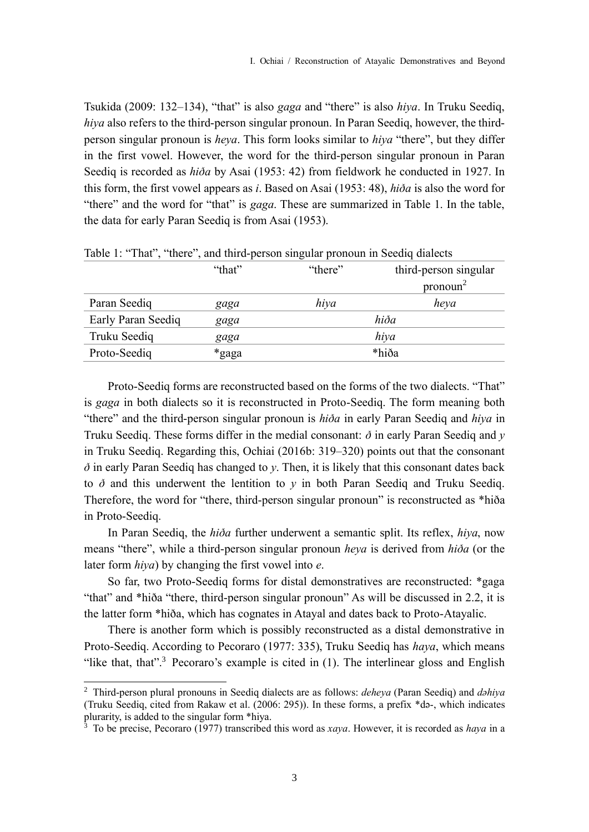Tsukida (2009: 132–134), "that" is also *gaga* and "there" is also *hiya*. In Truku Seediq, *hiya* also refers to the third-person singular pronoun. In Paran Seediq, however, the thirdperson singular pronoun is *heya*. This form looks similar to *hiya* "there", but they differ in the first vowel. However, the word for the third-person singular pronoun in Paran Seediq is recorded as *hiða* by Asai (1953: 42) from fieldwork he conducted in 1927. In this form, the first vowel appears as *i*. Based on Asai (1953: 48), *hiða* is also the word for "there" and the word for "that" is *gaga*. These are summarized in Table 1. In the table, the data for early Paran Seediq is from Asai (1953).

|                    |        | $\sqrt{ }$ |                       |
|--------------------|--------|------------|-----------------------|
|                    | "that" | "there"    | third-person singular |
|                    |        |            | pronom <sup>2</sup>   |
| Paran Seediq       | gaga   | hiya       | heva                  |
| Early Paran Seediq | gaga   |            | hiða                  |
| Truku Seediq       | gaga   |            | hiya                  |
| Proto-Seediq       | *gaga  |            | *hiða                 |

Table 1: "That", "there", and third-person singular pronoun in Seediq dialects

 Proto-Seediq forms are reconstructed based on the forms of the two dialects. "That" is *gaga* in both dialects so it is reconstructed in Proto-Seediq. The form meaning both "there" and the third-person singular pronoun is *hiða* in early Paran Seediq and *hiya* in Truku Seediq. These forms differ in the medial consonant: *ð* in early Paran Seediq and *y* in Truku Seediq. Regarding this, Ochiai (2016b: 319–320) points out that the consonant  $\delta$  in early Paran Seediq has changed to *y*. Then, it is likely that this consonant dates back to  $\delta$  and this underwent the lentition to  $y$  in both Paran Seediq and Truku Seediq. Therefore, the word for "there, third-person singular pronoun" is reconstructed as \*hiða in Proto-Seediq.

 In Paran Seediq, the *hiða* further underwent a semantic split. Its reflex, *hiya*, now means "there", while a third-person singular pronoun *heya* is derived from *hiða* (or the later form *hiya*) by changing the first vowel into *e*.

 So far, two Proto-Seediq forms for distal demonstratives are reconstructed: \*gaga "that" and \*hiða "there, third-person singular pronoun" As will be discussed in 2.2, it is the latter form \*hiða, which has cognates in Atayal and dates back to Proto-Atayalic.

 There is another form which is possibly reconstructed as a distal demonstrative in Proto-Seediq. According to Pecoraro (1977: 335), Truku Seediq has *haya*, which means "like that, that".<sup>3</sup> Pecoraro's example is cited in (1). The interlinear gloss and English

<sup>2</sup> Third-person plural pronouns in Seediq dialects are as follows: *deheya* (Paran Seediq) and *dəhiya* (Truku Seediq, cited from Rakaw et al. (2006: 295)). In these forms, a prefix \*də-, which indicates plurarity, is added to the singular form  $*$ hiya.

<sup>3</sup> To be precise, Pecoraro (1977) transcribed this word as *xaya*. However, it is recorded as *haya* in a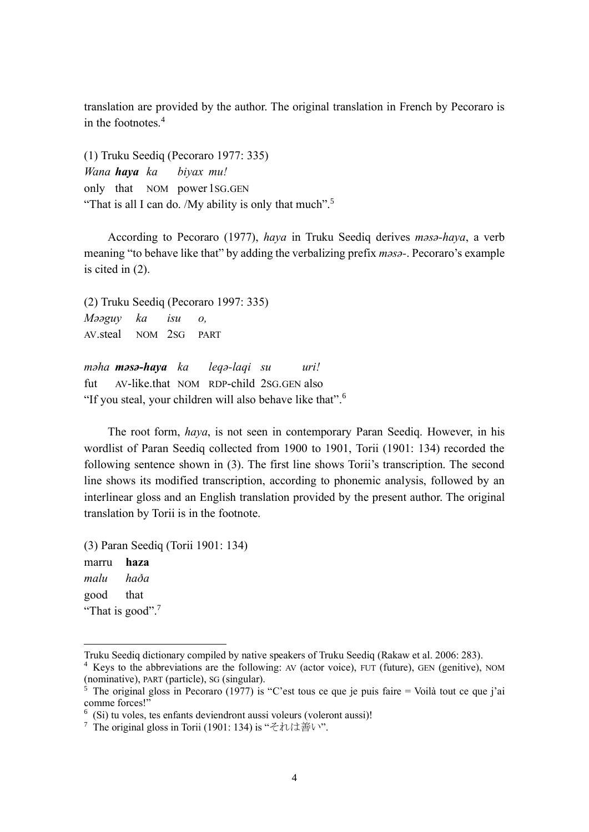translation are provided by the author. The original translation in French by Pecoraro is in the footnotes.<sup>4</sup>

(1) Truku Seediq (Pecoraro 1977: 335) *Wana haya ka biyax mu!*  only that NOM power 1SG.GEN "That is all I can do. /My ability is only that much".<sup>5</sup>

 According to Pecoraro (1977), *haya* in Truku Seediq derives *məsə-haya*, a verb meaning "to behave like that" by adding the verbalizing prefix *məsə-*. Pecoraro's example is cited in (2).

(2) Truku Seediq (Pecoraro 1997: 335) *Məəguy ka isu o,* AV.steal NOM 2SG PART

*məha məsə-haya ka leqə-laqi su uri!* fut AV-like.that NOM RDP-child 2SG.GEN also "If you steal, your children will also behave like that".<sup>6</sup>

 The root form, *haya*, is not seen in contemporary Paran Seediq. However, in his wordlist of Paran Seediq collected from 1900 to 1901, Torii (1901: 134) recorded the following sentence shown in (3). The first line shows Torii's transcription. The second line shows its modified transcription, according to phonemic analysis, followed by an interlinear gloss and an English translation provided by the present author. The original translation by Torii is in the footnote.

(3) Paran Seediq (Torii 1901: 134)

marru **haza** *malu haða*  good that "That is good".<sup>7</sup>

Truku Seediq dictionary compiled by native speakers of Truku Seediq (Rakaw et al. 2006: 283).

<sup>4</sup> Keys to the abbreviations are the following: AV (actor voice), FUT (future), GEN (genitive), NOM (nominative), PART (particle), SG (singular).

 $5$  The original gloss in Pecoraro (1977) is "C'est tous ce que je puis faire = Voilà tout ce que j'ai comme forces!"

<sup>6</sup> (Si) tu voles, tes enfants deviendront aussi voleurs (voleront aussi)!

<sup>7</sup> The original gloss in Torii (1901: 134) is "それは善い".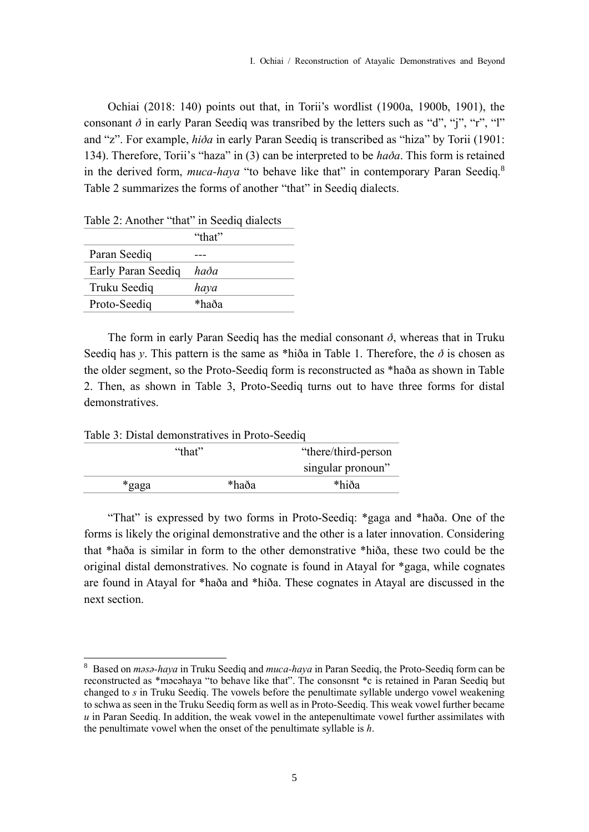Ochiai (2018: 140) points out that, in Torii's wordlist (1900a, 1900b, 1901), the consonant  $\delta$  in early Paran Seediq was transribed by the letters such as "d", "j", "r", "l" and "z". For example, *hiða* in early Paran Seediq is transcribed as "hiza" by Torii (1901: 134). Therefore, Torii's "haza" in (3) can be interpreted to be *haða*. This form is retained in the derived form, *muca-haya* "to behave like that" in contemporary Paran Seedia.<sup>8</sup> Table 2 summarizes the forms of another "that" in Seediq dialects.

|                    | $``$ that" |
|--------------------|------------|
| Paran Seediq       |            |
| Early Paran Seediq | haða       |
| Truku Seediq       | haya       |
| Proto-Seediq       | *haða      |

Table 2: Another "that" in Seediq dialects

The form in early Paran Seediq has the medial consonant  $\delta$ , whereas that in Truku Seediq has *y*. This pattern is the same as \*hiða in Table 1. Therefore, the *ð* is chosen as the older segment, so the Proto-Seediq form is reconstructed as \*haða as shown in Table 2. Then, as shown in Table 3, Proto-Seediq turns out to have three forms for distal demonstratives.

Table 3: Distal demonstratives in Proto-Seediq

|       | "that" | "there/third-person" |
|-------|--------|----------------------|
|       |        | singular pronoun"    |
| *gaga | *haða  | *hiða                |

 "That" is expressed by two forms in Proto-Seediq: \*gaga and \*haða. One of the forms is likely the original demonstrative and the other is a later innovation. Considering that \*haða is similar in form to the other demonstrative \*hiða, these two could be the original distal demonstratives. No cognate is found in Atayal for \*gaga, while cognates are found in Atayal for \*haða and \*hiða. These cognates in Atayal are discussed in the next section.

<sup>8</sup> Based on *məsə-haya* in Truku Seediq and *muca-haya* in Paran Seediq, the Proto-Seediq form can be reconstructed as \*məcəhaya "to behave like that". The consonsnt \*c is retained in Paran Seediq but changed to *s* in Truku Seediq. The vowels before the penultimate syllable undergo vowel weakening to schwa as seen in the Truku Seediq form as well as in Proto-Seediq. This weak vowel further became  $u$  in Paran Seediq. In addition, the weak vowel in the antepenultimate vowel further assimilates with the penultimate vowel when the onset of the penultimate syllable is *h*.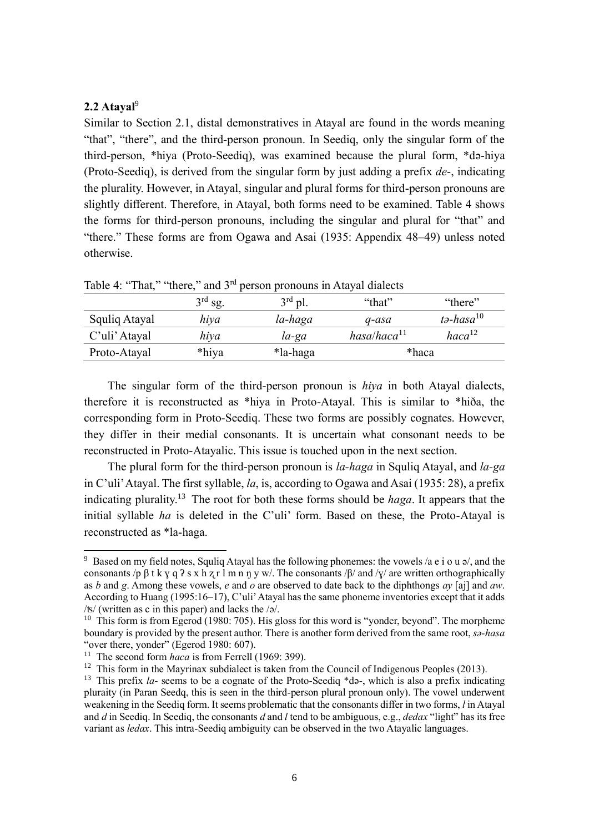# **2.2 Atayal**<sup>9</sup>

Similar to Section 2.1, distal demonstratives in Atayal are found in the words meaning "that", "there", and the third-person pronoun. In Seediq, only the singular form of the third-person, \*hiya (Proto-Seediq), was examined because the plural form, \*də-hiya (Proto-Seediq), is derived from the singular form by just adding a prefix *de*-, indicating the plurality. However, in Atayal, singular and plural forms for third-person pronouns are slightly different. Therefore, in Atayal, both forms need to be examined. Table 4 shows the forms for third-person pronouns, including the singular and plural for "that" and "there." These forms are from Ogawa and Asai (1935: Appendix 48–49) unless noted otherwise.

| $1401C + 1114C$ |           | $\mu$ . and $\mu$ person pronouns in Alayar dialects |                          |                           |
|-----------------|-----------|------------------------------------------------------|--------------------------|---------------------------|
|                 | $3rd$ sg. | $3^{\text{rd}}$ pl.                                  | "that"                   | "there"                   |
| Squliq Atayal   | hiya      | la-haga                                              | a-asa                    | $t\partial$ -hasa $^{10}$ |
| C'uli' Atayal   | hiya      | $la$ -ga                                             | has a/haca <sup>11</sup> | $haca^{12}$               |
| Proto-Atayal    | *hiya     | *la-haga                                             | *haca                    |                           |

Table  $\Lambda$ : "That," "there," and  $3^{rd}$  person pronouns in Atayal dialects

 The singular form of the third-person pronoun is *hiya* in both Atayal dialects, therefore it is reconstructed as \*hiya in Proto-Atayal. This is similar to \*hiða, the corresponding form in Proto-Seediq. These two forms are possibly cognates. However, they differ in their medial consonants. It is uncertain what consonant needs to be reconstructed in Proto-Atayalic. This issue is touched upon in the next section.

 The plural form for the third-person pronoun is *la-haga* in Squliq Atayal, and *la-ga* in C'uli' Atayal. The first syllable, *la*, is, according to Ogawa and Asai (1935: 28), a prefix indicating plurality.<sup>13</sup> The root for both these forms should be *haga*. It appears that the initial syllable *ha* is deleted in the C'uli' form. Based on these, the Proto-Atayal is reconstructed as \*la-haga.

<sup>9</sup> Based on my field notes, Squliq Atayal has the following phonemes: the vowels /a e i o u ə/, and the consonants /p  $\beta$  t k  $\gamma$  q  $\beta$  s x h z r l m n  $\gamma$  w/. The consonants / $\beta$ / and / $\gamma$ / are written orthographically as *b* and *g*. Among these vowels, *e* and *o* are observed to date back to the diphthongs *ay* [aj] and *aw*. According to Huang (1995:16–17), C'uli' Atayal has the same phoneme inventories except that it adds /ʦ/ (written as c in this paper) and lacks the /ə/.

<sup>&</sup>lt;sup>10</sup> This form is from Egerod (1980: 705). His gloss for this word is "yonder, beyond". The morpheme boundary is provided by the present author. There is another form derived from the same root, *sə-hasa* "over there, yonder" (Egerod 1980: 607).

<sup>&</sup>lt;sup>11</sup> The second form *haca* is from Ferrell (1969: 399).

 $12$  This form in the Mayrinax subdialect is taken from the Council of Indigenous Peoples (2013).

<sup>&</sup>lt;sup>13</sup> This prefix *la*- seems to be a cognate of the Proto-Seediq \*də-, which is also a prefix indicating pluraity (in Paran Seedq, this is seen in the third-person plural pronoun only). The vowel underwent weakening in the Seediq form. It seems problematic that the consonants differ in two forms, *l* in Atayal and *d* in Seediq. In Seediq, the consonants *d* and *l* tend to be ambiguous, e.g., *dedax* "light" has its free variant as *ledax*. This intra-Seediq ambiguity can be observed in the two Atayalic languages.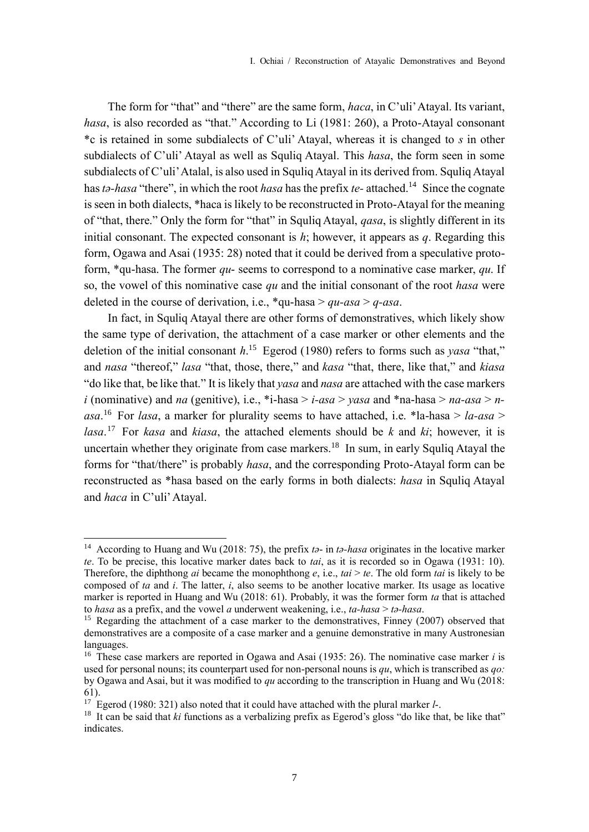The form for "that" and "there" are the same form, *haca*, in C'uli' Atayal. Its variant, *hasa*, is also recorded as "that." According to Li (1981: 260), a Proto-Atayal consonant \*c is retained in some subdialects of C'uli' Atayal, whereas it is changed to *s* in other subdialects of C'uli' Atayal as well as Squliq Atayal. This *hasa*, the form seen in some subdialects of C'uli' Atalal, is also used in Squliq Atayal in its derived from. Squliq Atayal has *tə-hasa* "there", in which the root *hasa* has the prefix *te-* attached. <sup>14</sup> Since the cognate is seen in both dialects, \*haca is likely to be reconstructed in Proto-Atayal for the meaning of "that, there." Only the form for "that" in Squliq Atayal, *qasa*, is slightly different in its initial consonant. The expected consonant is *h*; however, it appears as *q*. Regarding this form, Ogawa and Asai (1935: 28) noted that it could be derived from a speculative protoform, \*qu-hasa. The former *qu*- seems to correspond to a nominative case marker, *qu*. If so, the vowel of this nominative case *qu* and the initial consonant of the root *hasa* were deleted in the course of derivation, i.e., \*qu-hasa > *qu-asa* > *q-asa*.

 In fact, in Squliq Atayal there are other forms of demonstratives, which likely show the same type of derivation, the attachment of a case marker or other elements and the deletion of the initial consonant *h*. <sup>15</sup> Egerod (1980) refers to forms such as *yasa* "that," and *nasa* "thereof," *lasa* "that, those, there," and *kasa* "that, there, like that," and *kiasa* "do like that, be like that." It is likely that *yasa* and *nasa* are attached with the case markers *i* (nominative) and *na* (genitive), i.e., \*i-hasa > *i-asa* > *yasa* and \*na-hasa > *na-asa* > *nasa*. <sup>16</sup> For *lasa*, a marker for plurality seems to have attached, i.e. \*la-hasa > *la-asa* > *lasa*. 17 For *kasa* and *kiasa*, the attached elements should be *k* and *ki*; however, it is uncertain whether they originate from case markers.<sup>18</sup> In sum, in early Squliq Atayal the forms for "that/there" is probably *hasa*, and the corresponding Proto-Atayal form can be reconstructed as \*hasa based on the early forms in both dialects: *hasa* in Squliq Atayal and *haca* in C'uli' Atayal.

<sup>14</sup> According to Huang and Wu (2018: 75), the prefix *tə*- in *tə-hasa* originates in the locative marker *te*. To be precise, this locative marker dates back to *tai*, as it is recorded so in Ogawa (1931: 10). Therefore, the diphthong *ai* became the monophthong *e*, i.e., *tai* > *te*. The old form *tai* is likely to be composed of *ta* and *i*. The latter, *i*, also seems to be another locative marker. Its usage as locative marker is reported in Huang and Wu (2018: 61). Probably, it was the former form *ta* that is attached to *hasa* as a prefix, and the vowel *a* underwent weakening, i.e., *ta-hasa* > *tə-hasa*.

<sup>&</sup>lt;sup>15</sup> Regarding the attachment of a case marker to the demonstratives, Finney (2007) observed that demonstratives are a composite of a case marker and a genuine demonstrative in many Austronesian languages.

<sup>&</sup>lt;sup>16</sup> These case markers are reported in Ogawa and Asai (1935: 26). The nominative case marker *i* is used for personal nouns; its counterpart used for non-personal nouns is *qu*, which is transcribed as *qo:* by Ogawa and Asai, but it was modified to *qu* according to the transcription in Huang and Wu (2018: 61).

<sup>17</sup> Egerod (1980: 321) also noted that it could have attached with the plural marker *l*-.

<sup>&</sup>lt;sup>18</sup> It can be said that  $ki$  functions as a verbalizing prefix as Egerod's gloss "do like that, be like that" indicates.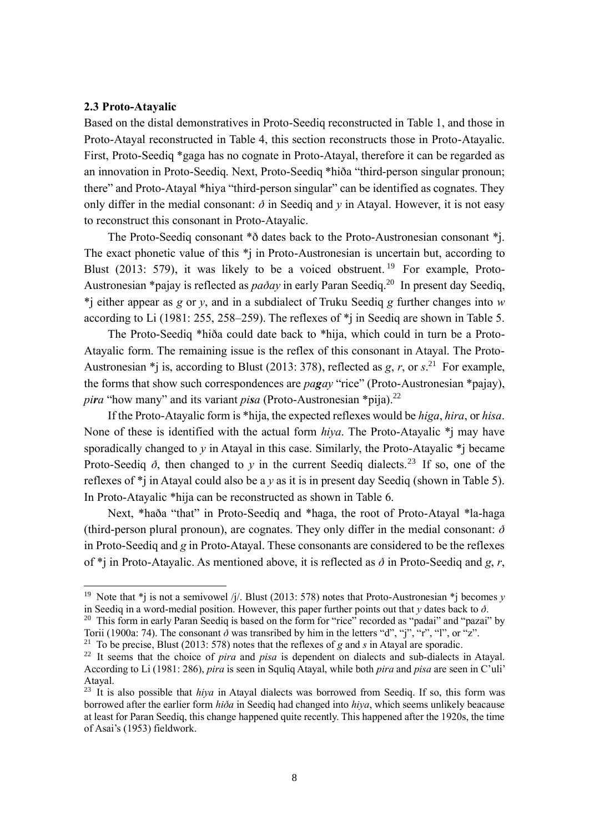## **2.3 Proto-Atayalic**

Based on the distal demonstratives in Proto-Seediq reconstructed in Table 1, and those in Proto-Atayal reconstructed in Table 4, this section reconstructs those in Proto-Atayalic. First, Proto-Seediq \*gaga has no cognate in Proto-Atayal, therefore it can be regarded as an innovation in Proto-Seediq. Next, Proto-Seediq \*hiða "third-person singular pronoun; there" and Proto-Atayal \*hiya "third-person singular" can be identified as cognates. They only differ in the medial consonant: *ð* in Seediq and *y* in Atayal. However, it is not easy to reconstruct this consonant in Proto-Atayalic.

 The Proto-Seediq consonant \*ð dates back to the Proto-Austronesian consonant \*j. The exact phonetic value of this \**j* in Proto-Austronesian is uncertain but, according to Blust (2013: 579), it was likely to be a voiced obstruent.<sup>19</sup> For example, Proto-Austronesian \*pajay is reflected as *paðay* in early Paran Seediq.<sup>20</sup> In present day Seediq, \*j either appear as *g* or *y*, and in a subdialect of Truku Seediq *g* further changes into *w* according to Li (1981: 255, 258–259). The reflexes of \*j in Seediq are shown in Table 5.

 The Proto-Seediq \*hiða could date back to \*hija, which could in turn be a Proto-Atayalic form. The remaining issue is the reflex of this consonant in Atayal. The Proto-Austronesian \*j is, according to Blust (2013: 378), reflected as *g*, *r*, or *s*. <sup>21</sup> For example, the forms that show such correspondences are *pagay* "rice" (Proto-Austronesian \*pajay), *pira* "how many" and its variant *pisa* (Proto-Austronesian  $*$ pija).<sup>22</sup>

 If the Proto-Atayalic form is \*hija, the expected reflexes would be *higa*, *hira*, or *hisa*. None of these is identified with the actual form *hiya*. The Proto-Atayalic \*j may have sporadically changed to *y* in Atayal in this case. Similarly, the Proto-Atayalic \*j became Proto-Seediq  $\delta$ , then changed to  $y$  in the current Seediq dialects.<sup>23</sup> If so, one of the reflexes of \*j in Atayal could also be a *y* as it is in present day Seediq (shown in Table 5). In Proto-Atayalic \*hija can be reconstructed as shown in Table 6.

 Next, \*haða "that" in Proto-Seediq and \*haga, the root of Proto-Atayal \*la-haga (third-person plural pronoun), are cognates. They only differ in the medial consonant: *ð* in Proto-Seediq and *g* in Proto-Atayal. These consonants are considered to be the reflexes of \*j in Proto-Atayalic. As mentioned above, it is reflected as *ð* in Proto-Seediq and *g*, *r*,

<sup>19</sup> Note that \*j is not a semivowel /j/. Blust (2013: 578) notes that Proto-Austronesian \*j becomes *y* in Seediq in a word-medial position. However, this paper further points out that *y* dates back to *ð*.

<sup>&</sup>lt;sup>20</sup> This form in early Paran Seediq is based on the form for "rice" recorded as "padai" and "pazai" by Torii (1900a: 74). The consonant  $\dot{\delta}$  was transribed by him in the letters "d", "j", "r", "l", or "z".

<sup>21</sup> To be precise, Blust (2013: 578) notes that the reflexes of *g* and *s* in Atayal are sporadic.

<sup>22</sup> It seems that the choice of *pira* and *pisa* is dependent on dialects and sub-dialects in Atayal. According to Li (1981: 286), *pira* is seen in Squliq Atayal, while both *pira* and *pisa* are seen in C'uli' Atayal.

<sup>&</sup>lt;sup>23</sup> It is also possible that *hiya* in Atayal dialects was borrowed from Seediq. If so, this form was borrowed after the earlier form *hiða* in Seediq had changed into *hiya*, which seems unlikely beacause at least for Paran Seediq, this change happened quite recently. This happened after the 1920s, the time of Asai's (1953) fieldwork.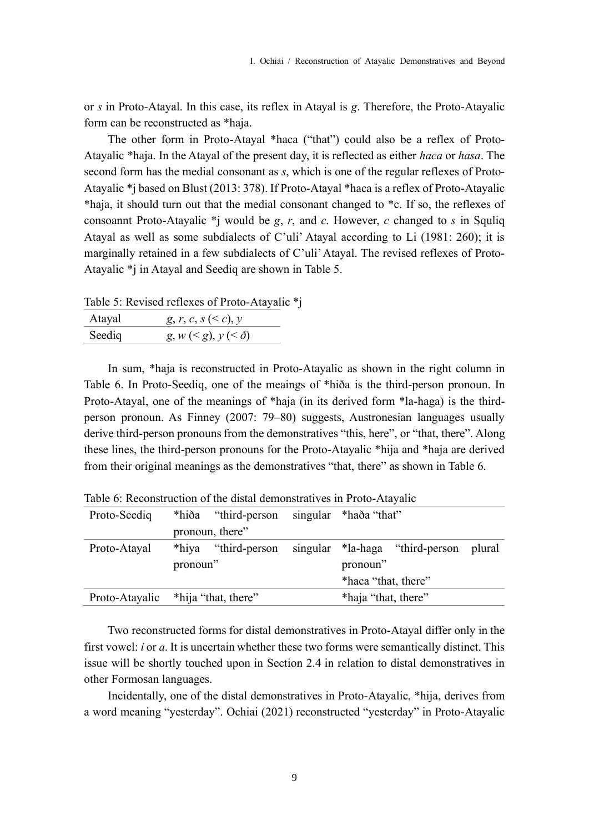or *s* in Proto-Atayal. In this case, its reflex in Atayal is *g*. Therefore, the Proto-Atayalic form can be reconstructed as \*haja.

 The other form in Proto-Atayal \*haca ("that") could also be a reflex of Proto-Atayalic \*haja. In the Atayal of the present day, it is reflected as either *haca* or *hasa*. The second form has the medial consonant as *s*, which is one of the regular reflexes of Proto-Atayalic \*j based on Blust (2013: 378). If Proto-Atayal \*haca is a reflex of Proto-Atayalic \*haja, it should turn out that the medial consonant changed to \*c. If so, the reflexes of consoannt Proto-Atayalic \*j would be *g*, *r*, and *c*. However, *c* changed to *s* in Squliq Atayal as well as some subdialects of C'uli' Atayal according to Li (1981: 260); it is marginally retained in a few subdialects of C'uli' Atayal. The revised reflexes of Proto-Atayalic \*j in Atayal and Seediq are shown in Table 5.

Table 5: Revised reflexes of Proto-Atayalic \*j

| Atayal | $g, r, c, s \leq c$ , y           |
|--------|-----------------------------------|
| Seedig | $g, w \, (<\, g), y \, (<\delta)$ |

 In sum, \*haja is reconstructed in Proto-Atayalic as shown in the right column in Table 6. In Proto-Seediq, one of the meaings of \*hiða is the third-person pronoun. In Proto-Atayal, one of the meanings of \*haja (in its derived form \*la-haga) is the thirdperson pronoun. As Finney (2007: 79–80) suggests, Austronesian languages usually derive third-person pronouns from the demonstratives "this, here", or "that, there". Along these lines, the third-person pronouns for the Proto-Atayalic \*hija and \*haja are derived from their original meanings as the demonstratives "that, there" as shown in Table 6.

| Proto-Seediq   |          | *hiða "third-person |          | singular *haða "that" |                        |        |
|----------------|----------|---------------------|----------|-----------------------|------------------------|--------|
|                |          | pronoun, there"     |          |                       |                        |        |
| Proto-Atayal   | *hiya    | "third-person"      | singular |                       | *la-haga "third-person | plural |
|                | pronoun" |                     |          | pronoun"              |                        |        |
|                |          |                     |          | *haca "that, there"   |                        |        |
| Proto-Atayalic |          | *hija "that, there" |          | *haja "that, there"   |                        |        |

Table 6: Reconstruction of the distal demonstratives in Proto-Atayalic

 Two reconstructed forms for distal demonstratives in Proto-Atayal differ only in the first vowel: *i* or *a*. It is uncertain whether these two forms were semantically distinct. This issue will be shortly touched upon in Section 2.4 in relation to distal demonstratives in other Formosan languages.

Incidentally, one of the distal demonstratives in Proto-Atayalic, \*hija, derives from a word meaning "yesterday". Ochiai (2021) reconstructed "yesterday" in Proto-Atayalic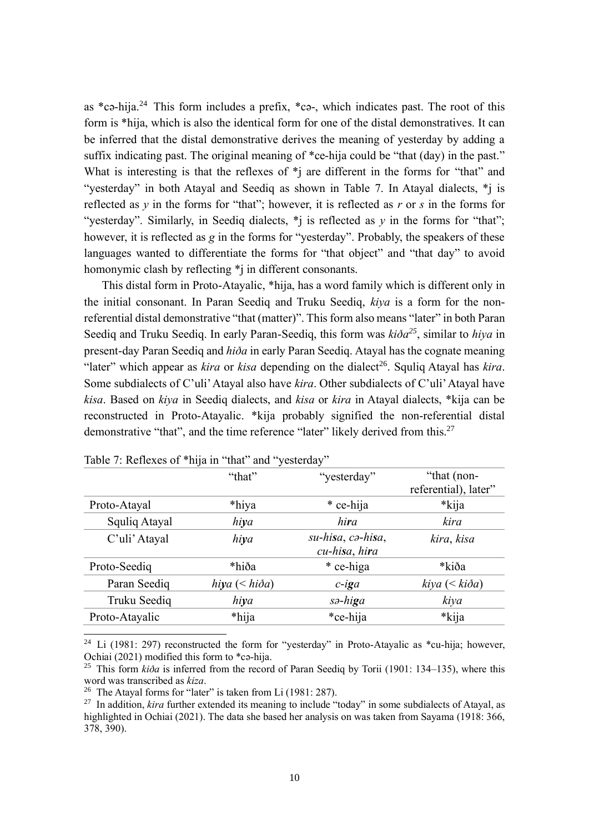as  $*c$ -hija.<sup>24</sup> This form includes a prefix,  $*c$ -, which indicates past. The root of this form is \*hija, which is also the identical form for one of the distal demonstratives. It can be inferred that the distal demonstrative derives the meaning of yesterday by adding a suffix indicating past. The original meaning of \*ce-hija could be "that (day) in the past." What is interesting is that the reflexes of  $*$ j are different in the forms for "that" and "yesterday" in both Atayal and Seediq as shown in Table 7. In Atayal dialects,  $*_i$  is reflected as *y* in the forms for "that"; however, it is reflected as *r* or *s* in the forms for "yesterday". Similarly, in Seediq dialects,  $*_i$  is reflected as *y* in the forms for "that"; however, it is reflected as *g* in the forms for "yesterday". Probably, the speakers of these languages wanted to differentiate the forms for "that object" and "that day" to avoid homonymic clash by reflecting \*j in different consonants.

This distal form in Proto-Atayalic, \*hija, has a word family which is different only in the initial consonant. In Paran Seediq and Truku Seediq, *kiya* is a form for the nonreferential distal demonstrative "that (matter)". This form also means "later" in both Paran Seediq and Truku Seediq. In early Paran-Seediq, this form was *kiða<sup>25</sup>*, similar to *hiya* in present-day Paran Seediq and *hiða* in early Paran Seediq. Atayal has the cognate meaning "later" which appear as *kira* or *kisa* depending on the dialect<sup>26</sup>. Squliq Atayal has *kira*. Some subdialects of C'uli' Atayal also have *kira*. Other subdialects of C'uli' Atayal have *kisa*. Based on *kiya* in Seediq dialects, and *kisa* or *kira* in Atayal dialects, \*kija can be reconstructed in Proto-Atayalic. \*kija probably signified the non-referential distal demonstrative "that", and the time reference "later" likely derived from this.<sup>27</sup>

|                | "that"                                           | "yesterday"                        | "that (non-<br>referential), later" |
|----------------|--------------------------------------------------|------------------------------------|-------------------------------------|
| Proto-Atayal   | *hiya                                            | * ce-hija                          | *kija                               |
| Squliq Atayal  | hiya                                             | hira                               | kira                                |
| C'uli' Atayal  | hiya                                             | su-hisa, cə-hisa,<br>cu-hisa, hira | kira, kisa                          |
| Proto-Seediq   | *hiða                                            | * ce-higa                          | *kiða                               |
| Paran Seediq   | hiya $\left(\langle \nabla h i \delta a \right)$ | $c$ -iga                           | $kiva \leq ki\delta a)$             |
| Truku Seediq   | hiya                                             | $s$ $\partial$ -higa               | kiya                                |
| Proto-Atayalic | *hija                                            | *ce-hija                           | *kija                               |

Table 7: Reflexes of \*hija in "that" and "yesterday"

<sup>24</sup> Li (1981: 297) reconstructed the form for "yesterday" in Proto-Atayalic as \*cu-hija; however, Ochiai (2021) modified this form to \*cə-hija.

<sup>&</sup>lt;sup>25</sup> This form  $ki\delta a$  is inferred from the record of Paran Seedia by Torii (1901: 134–135), where this word was transcribed as *kiza*.

<sup>&</sup>lt;sup>26</sup> The Atayal forms for "later" is taken from Li (1981: 287).

<sup>&</sup>lt;sup>27</sup> In addition, *kira* further extended its meaning to include "today" in some subdialects of Atayal, as highlighted in Ochiai (2021). The data she based her analysis on was taken from Sayama (1918: 366, 378, 390).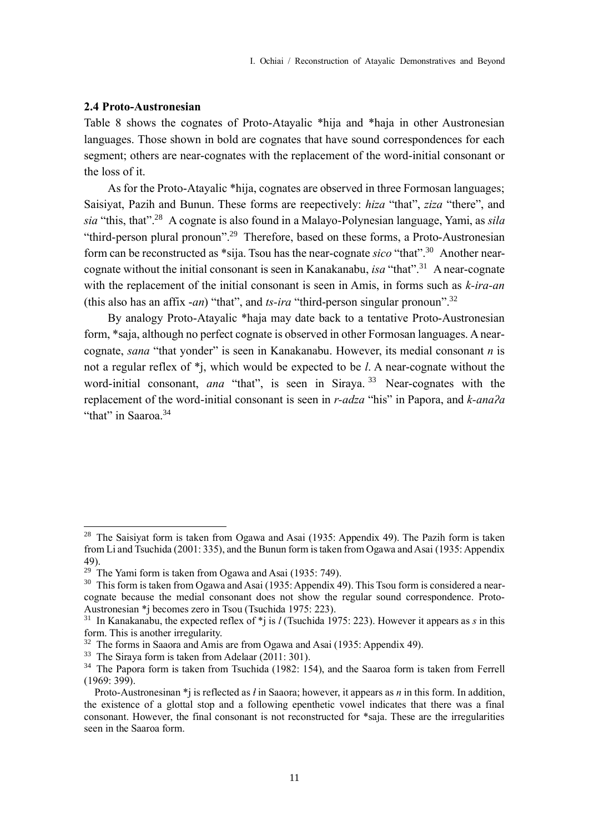#### **2.4 Proto-Austronesian**

Table 8 shows the cognates of Proto-Atayalic \*hija and \*haja in other Austronesian languages. Those shown in bold are cognates that have sound correspondences for each segment; others are near-cognates with the replacement of the word-initial consonant or the loss of it.

 As for the Proto-Atayalic \*hija, cognates are observed in three Formosan languages; Saisiyat, Pazih and Bunun. These forms are reepectively: *hiza* "that", *ziza* "there", and *sia* "this, that".<sup>28</sup> A cognate is also found in a Malayo-Polynesian language, Yami, as *sila* "third-person plural pronoun".<sup>29</sup> Therefore, based on these forms, a Proto-Austronesian form can be reconstructed as \*sija. Tsou has the near-cognate *sico* "that". <sup>30</sup> Another nearcognate without the initial consonant is seen in Kanakanabu, *isa* "that". <sup>31</sup> A near-cognate with the replacement of the initial consonant is seen in Amis, in forms such as *k-ira-an* (this also has an affix -*an*) "that", and *ts-ira* "third-person singular pronoun". 32

 By analogy Proto-Atayalic \*haja may date back to a tentative Proto-Austronesian form, \*saja, although no perfect cognate is observed in other Formosan languages. A nearcognate, *sana* "that yonder" is seen in Kanakanabu. However, its medial consonant *n* is not a regular reflex of \*j, which would be expected to be *l*. A near-cognate without the word-initial consonant, *ana* "that", is seen in Siraya.<sup>33</sup> Near-cognates with the replacement of the word-initial consonant is seen in *r-adza* "his" in Papora, and *k-anaʔa* "that" in Saaroa.<sup>34</sup>

<sup>&</sup>lt;sup>28</sup> The Saisiyat form is taken from Ogawa and Asai (1935: Appendix 49). The Pazih form is taken from Li and Tsuchida (2001: 335), and the Bunun form is taken from Ogawa and Asai (1935: Appendix 49).

 $29$  The Yami form is taken from Ogawa and Asai (1935: 749).

<sup>&</sup>lt;sup>30</sup> This form is taken from Ogawa and Asai (1935: Appendix 49). This Tsou form is considered a nearcognate because the medial consonant does not show the regular sound correspondence. Proto-Austronesian \*j becomes zero in Tsou (Tsuchida 1975: 223).

<sup>31</sup> In Kanakanabu, the expected reflex of \*j is *l* (Tsuchida 1975: 223). However it appears as *s* in this form. This is another irregularity.

 $32$  The forms in Saaora and Amis are from Ogawa and Asai (1935: Appendix 49).

<sup>&</sup>lt;sup>33</sup> The Siraya form is taken from Adelaar (2011: 301).

<sup>&</sup>lt;sup>34</sup> The Papora form is taken from Tsuchida (1982: 154), and the Saaroa form is taken from Ferrell (1969: 399).

Proto-Austronesinan \*j is reflected as *ɬ* in Saaora; however, it appears as *n* in this form. In addition, the existence of a glottal stop and a following epenthetic vowel indicates that there was a final consonant. However, the final consonant is not reconstructed for \*saja. These are the irregularities seen in the Saaroa form.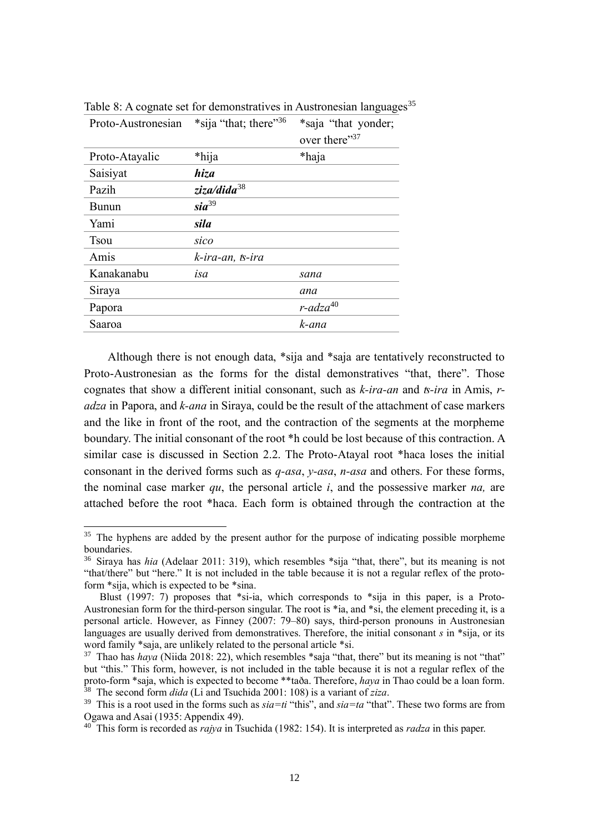| Proto-Austronesian | *sija "that; there" <sup>36</sup> | *saja "that yonder;     |
|--------------------|-----------------------------------|-------------------------|
|                    |                                   | over there"37           |
| Proto-Atayalic     | *hija                             | *haja                   |
| Saisiyat           | hiza                              |                         |
| Pazih              | ziza/dida $38$                    |                         |
| Bunun              | $sia^{39}$                        |                         |
| Yami               | sila                              |                         |
| <b>Tsou</b>        | sico                              |                         |
| Amis               | k-ira-an, ts-ira                  |                         |
| Kanakanabu         | isa                               | sana                    |
| Siraya             |                                   | ana                     |
| Papora             |                                   | $r$ -adza <sup>40</sup> |
| Saaroa             |                                   | k-ana                   |

Table 8: A cognate set for demonstratives in Austronesian languages<sup>35</sup>

 Although there is not enough data, \*sija and \*saja are tentatively reconstructed to Proto-Austronesian as the forms for the distal demonstratives "that, there". Those cognates that show a different initial consonant, such as *k-ira-an* and *ʦ-ira* in Amis, *radza* in Papora, and *k-ana* in Siraya, could be the result of the attachment of case markers and the like in front of the root, and the contraction of the segments at the morpheme boundary. The initial consonant of the root \*h could be lost because of this contraction. A similar case is discussed in Section 2.2. The Proto-Atayal root \*haca loses the initial consonant in the derived forms such as *q-asa*, *y-asa*, *n-asa* and others. For these forms, the nominal case marker *qu*, the personal article *i*, and the possessive marker *na,* are attached before the root \*haca. Each form is obtained through the contraction at the

 $35$  The hyphens are added by the present author for the purpose of indicating possible morpheme boundaries.

<sup>&</sup>lt;sup>36</sup> Siraya has *hia* (Adelaar 2011: 319), which resembles \*sija "that, there", but its meaning is not "that/there" but "here." It is not included in the table because it is not a regular reflex of the protoform \*sija, which is expected to be \*sina.

Blust (1997: 7) proposes that \*si-ia, which corresponds to \*sija in this paper, is a Proto-Austronesian form for the third-person singular. The root is \*ia, and \*si, the element preceding it, is a personal article. However, as Finney (2007: 79–80) says, third-person pronouns in Austronesian languages are usually derived from demonstratives. Therefore, the initial consonant *s* in \*sija, or its word family \*saja, are unlikely related to the personal article \*si.

<sup>&</sup>lt;sup>37</sup> Thao has *haya* (Niida 2018: 22), which resembles \*saja "that, there" but its meaning is not "that" but "this." This form, however, is not included in the table because it is not a regular reflex of the proto-form \*saja, which is expected to become \*\*taða. Therefore, *haya* in Thao could be a loan form. <sup>38</sup> The second form *dida* (Li and Tsuchida 2001: 108) is a variant of *ziza*.

<sup>39</sup> This is a root used in the forms such as *sia=ti* "this", and *sia=ta* "that". These two forms are from Ogawa and Asai (1935: Appendix 49).

<sup>40</sup> This form is recorded as *rajya* in Tsuchida (1982: 154). It is interpreted as *radza* in this paper.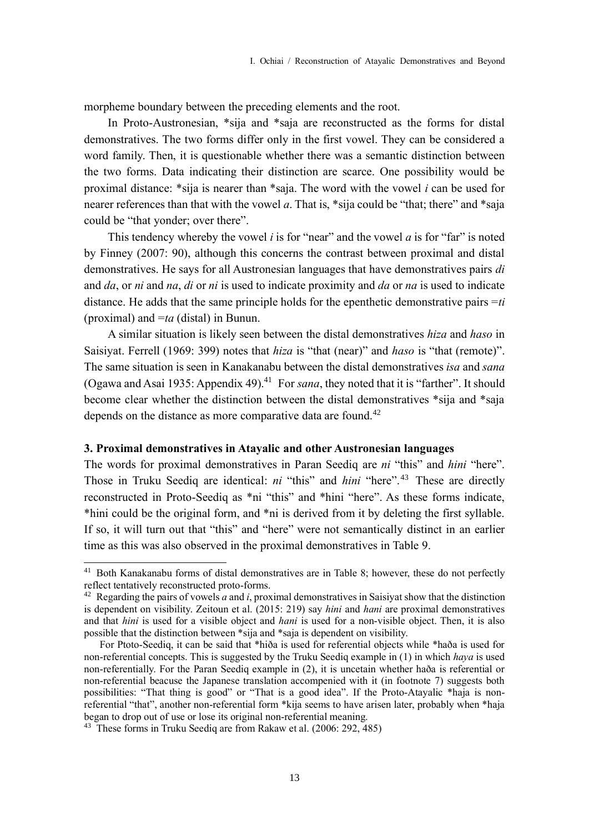morpheme boundary between the preceding elements and the root.

 In Proto-Austronesian, \*sija and \*saja are reconstructed as the forms for distal demonstratives. The two forms differ only in the first vowel. They can be considered a word family. Then, it is questionable whether there was a semantic distinction between the two forms. Data indicating their distinction are scarce. One possibility would be proximal distance: \*sija is nearer than \*saja. The word with the vowel *i* can be used for nearer references than that with the vowel *a*. That is, \*sija could be "that; there" and \*saja could be "that yonder; over there".

 This tendency whereby the vowel *i* is for "near" and the vowel *a* is for "far" is noted by Finney (2007: 90), although this concerns the contrast between proximal and distal demonstratives. He says for all Austronesian languages that have demonstratives pairs *di* and *da*, or *ni* and *na*, *di* or *ni* is used to indicate proximity and *da* or *na* is used to indicate distance. He adds that the same principle holds for the epenthetic demonstrative pairs =*ti* (proximal) and =*ta* (distal) in Bunun.

 A similar situation is likely seen between the distal demonstratives *hiza* and *haso* in Saisiyat. Ferrell (1969: 399) notes that *hiza* is "that (near)" and *haso* is "that (remote)". The same situation is seen in Kanakanabu between the distal demonstratives *isa* and *sana* (Ogawa and Asai 1935: Appendix 49).<sup>41</sup> For *sana*, they noted that it is "farther". It should become clear whether the distinction between the distal demonstratives \*sija and \*saja depends on the distance as more comparative data are found.<sup>42</sup>

# **3. Proximal demonstratives in Atayalic and other Austronesian languages**

The words for proximal demonstratives in Paran Seediq are *ni* "this" and *hini* "here". Those in Truku Seediq are identical: *ni* "this" and *hini* "here".<sup>43</sup> These are directly reconstructed in Proto-Seediq as \*ni "this" and \*hini "here". As these forms indicate, \*hini could be the original form, and \*ni is derived from it by deleting the first syllable. If so, it will turn out that "this" and "here" were not semantically distinct in an earlier time as this was also observed in the proximal demonstratives in Table 9.

<sup>&</sup>lt;sup>41</sup> Both Kanakanabu forms of distal demonstratives are in Table 8; however, these do not perfectly reflect tentatively reconstructed proto-forms.

<sup>42</sup> Regarding the pairs of vowels *a* and *i*, proximal demonstratives in Saisiyat show that the distinction is dependent on visibility. Zeitoun et al. (2015: 219) say *hini* and *hani* are proximal demonstratives and that *hini* is used for a visible object and *hani* is used for a non-visible object. Then, it is also possible that the distinction between \*sija and \*saja is dependent on visibility.

For Ptoto-Seediq, it can be said that \*hiða is used for referential objects while \*haða is used for non-referential concepts. This is suggested by the Truku Seediq example in (1) in which *haya* is used non-referentially. For the Paran Seediq example in (2), it is uncetain whether haða is referential or non-referential beacuse the Japanese translation accompenied with it (in footnote 7) suggests both possibilities: "That thing is good" or "That is a good idea". If the Proto-Atayalic \*haja is nonreferential "that", another non-referential form \*kija seems to have arisen later, probably when \*haja began to drop out of use or lose its original non-referential meaning.

<sup>&</sup>lt;sup>43</sup> These forms in Truku Seediq are from Rakaw et al. (2006: 292, 485)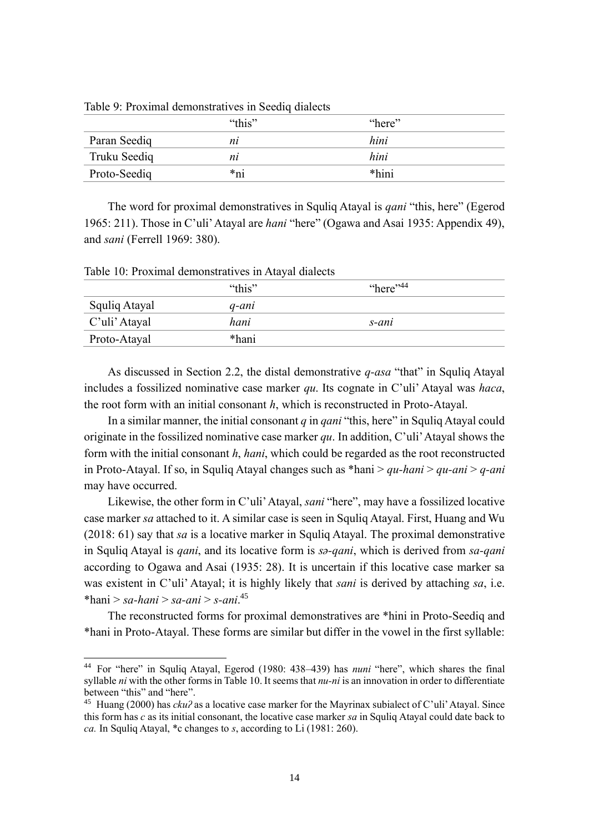|              | "this"   | "here" |
|--------------|----------|--------|
| Paran Seediq | nı       | hini   |
| Truku Seediq | nı       | hini   |
| Proto-Seediq | $*_{ni}$ | *hini  |

Table 9: Proximal demonstratives in Seediq dialects

 The word for proximal demonstratives in Squliq Atayal is *qani* "this, here" (Egerod 1965: 211). Those in C'uli' Atayal are *hani* "here" (Ogawa and Asai 1935: Appendix 49), and *sani* (Ferrell 1969: 380).

Table 10: Proximal demonstratives in Atayal dialects

|               | "this"   | "here" $44$ |  |
|---------------|----------|-------------|--|
| Squliq Atayal | $a$ -ani |             |  |
| C'uli' Atayal | hani     | $s$ -ani    |  |
| Proto-Atayal  | *hani    |             |  |

 As discussed in Section 2.2, the distal demonstrative *q-asa* "that" in Squliq Atayal includes a fossilized nominative case marker *qu*. Its cognate in C'uli' Atayal was *haca*, the root form with an initial consonant *h*, which is reconstructed in Proto-Atayal.

 In a similar manner, the initial consonant *q* in *qani* "this, here" in Squliq Atayal could originate in the fossilized nominative case marker *qu*. In addition, C'uli' Atayal shows the form with the initial consonant *h*, *hani*, which could be regarded as the root reconstructed in Proto-Atayal. If so, in Squliq Atayal changes such as \*hani > *qu-hani* > *qu-ani* > *q-ani* may have occurred.

 Likewise, the other form in C'uli' Atayal, *sani* "here", may have a fossilized locative case marker *sa* attached to it. A similar case is seen in Squliq Atayal. First, Huang and Wu (2018: 61) say that *sa* is a locative marker in Squliq Atayal. The proximal demonstrative in Squliq Atayal is *qani*, and its locative form is *sə-qani*, which is derived from *sa-qani* according to Ogawa and Asai (1935: 28). It is uncertain if this locative case marker sa was existent in C'uli' Atayal; it is highly likely that *sani* is derived by attaching *sa*, i.e. \*hani > *sa-hani* > *sa-ani* > *s-ani*. 45

 The reconstructed forms for proximal demonstratives are \*hini in Proto-Seediq and \*hani in Proto-Atayal. These forms are similar but differ in the vowel in the first syllable:

<sup>44</sup> For "here" in Squliq Atayal, Egerod (1980: 438–439) has *nuni* "here", which shares the final syllable *ni* with the other forms in Table 10. It seems that *nu-ni* is an innovation in order to differentiate between "this" and "here".

<sup>45</sup> Huang (2000) has *ckuʔ* as a locative case marker for the Mayrinax subialect of C'uli' Atayal. Since this form has *c* as its initial consonant, the locative case marker *sa* in Squliq Atayal could date back to *ca.* In Squliq Atayal, \*c changes to *s*, according to Li (1981: 260).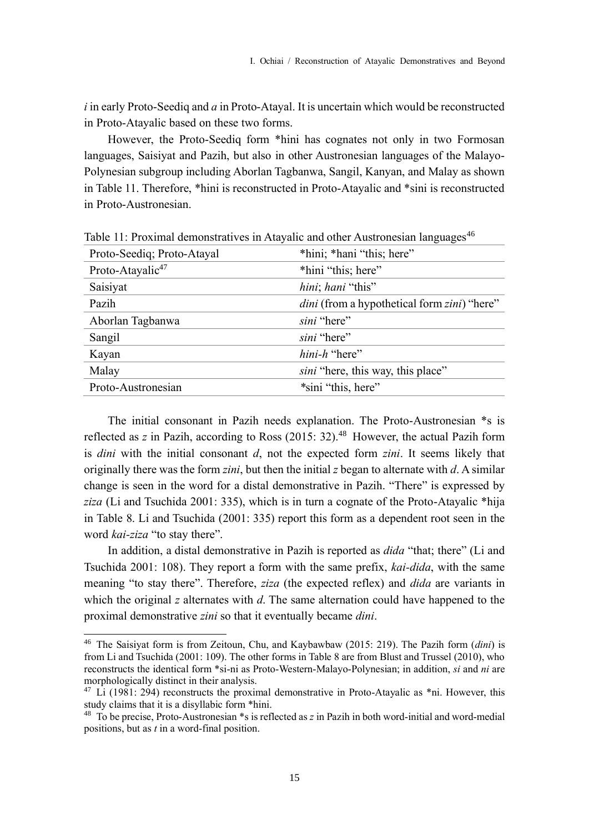*i* in early Proto-Seediq and *a* in Proto-Atayal. It is uncertain which would be reconstructed in Proto-Atayalic based on these two forms.

 However, the Proto-Seediq form \*hini has cognates not only in two Formosan languages, Saisiyat and Pazih, but also in other Austronesian languages of the Malayo-Polynesian subgroup including Aborlan Tagbanwa, Sangil, Kanyan, and Malay as shown in Table 11. Therefore, \*hini is reconstructed in Proto-Atayalic and \*sini is reconstructed in Proto-Austronesian.

| Proto-Seediq; Proto-Atayal   | *hini; *hani "this; here"                                  |
|------------------------------|------------------------------------------------------------|
| Proto-Atayalic <sup>47</sup> | *hini "this; here"                                         |
| Saisiyat                     | hini; hani "this"                                          |
| Pazih                        | <i>dini</i> (from a hypothetical form <i>zini</i> ) "here" |
| Aborlan Tagbanwa             | sini "here"                                                |
| Sangil                       | sini "here"                                                |
| Kayan                        | hini-h "here"                                              |
| Malay                        | <i>sini</i> "here, this way, this place"                   |
| Proto-Austronesian           | *sini "this, here"                                         |

Table 11: Proximal demonstratives in Atayalic and other Austronesian languages<sup>46</sup>

 The initial consonant in Pazih needs explanation. The Proto-Austronesian \*s is reflected as *z* in Pazih, according to Ross (2015: 32).<sup>48</sup> However, the actual Pazih form is *dini* with the initial consonant *d*, not the expected form *zini*. It seems likely that originally there was the form *zini*, but then the initial *z* began to alternate with *d*. A similar change is seen in the word for a distal demonstrative in Pazih. "There" is expressed by *ziza* (Li and Tsuchida 2001: 335), which is in turn a cognate of the Proto-Atayalic \*hija in Table 8. Li and Tsuchida (2001: 335) report this form as a dependent root seen in the word *kai-ziza* "to stay there".

 In addition, a distal demonstrative in Pazih is reported as *dida* "that; there" (Li and Tsuchida 2001: 108). They report a form with the same prefix, *kai-dida*, with the same meaning "to stay there". Therefore, *ziza* (the expected reflex) and *dida* are variants in which the original *z* alternates with *d*. The same alternation could have happened to the proximal demonstrative *zini* so that it eventually became *dini*.

<sup>46</sup> The Saisiyat form is from Zeitoun, Chu, and Kaybawbaw (2015: 219). The Pazih form (*dini*) is from Li and Tsuchida (2001: 109). The other forms in Table 8 are from Blust and Trussel (2010), who reconstructs the identical form \*si-ni as Proto-Western-Malayo-Polynesian; in addition, *si* and *ni* are morphologically distinct in their analysis.

 $47$  Li (1981: 294) reconstructs the proximal demonstrative in Proto-Atayalic as \*ni. However, this study claims that it is a disyllabic form \*hini.

<sup>48</sup> To be precise, Proto-Austronesian \*s is reflected as *z* in Pazih in both word-initial and word-medial positions, but as *t* in a word-final position.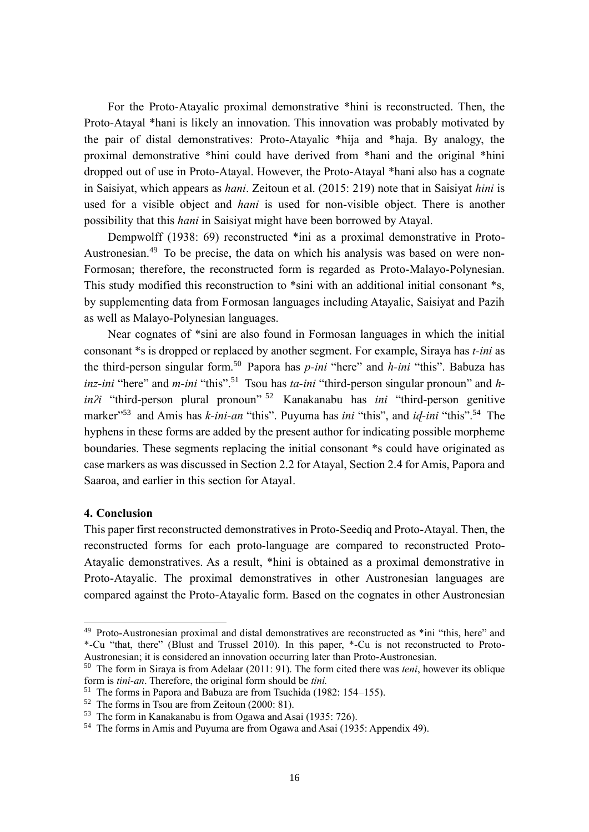For the Proto-Atayalic proximal demonstrative \*hini is reconstructed. Then, the Proto-Atayal \*hani is likely an innovation. This innovation was probably motivated by the pair of distal demonstratives: Proto-Atayalic \*hija and \*haja. By analogy, the proximal demonstrative \*hini could have derived from \*hani and the original \*hini dropped out of use in Proto-Atayal. However, the Proto-Atayal \*hani also has a cognate in Saisiyat, which appears as *hani*. Zeitoun et al. (2015: 219) note that in Saisiyat *hini* is used for a visible object and *hani* is used for non-visible object. There is another possibility that this *hani* in Saisiyat might have been borrowed by Atayal.

 Dempwolff (1938: 69) reconstructed \*ini as a proximal demonstrative in Proto-Austronesian.<sup>49</sup> To be precise, the data on which his analysis was based on were non-Formosan; therefore, the reconstructed form is regarded as Proto-Malayo-Polynesian. This study modified this reconstruction to \*sini with an additional initial consonant \*s, by supplementing data from Formosan languages including Atayalic, Saisiyat and Pazih as well as Malayo-Polynesian languages.

 Near cognates of \*sini are also found in Formosan languages in which the initial consonant \*s is dropped or replaced by another segment. For example, Siraya has *t-ini* as the third-person singular form.<sup>50</sup> Papora has *p-ini* "here" and *h-ini* "this". Babuza has *inz-ini* "here" and *m-ini* "this".<sup>51</sup> Tsou has *ta-ini* "third-person singular pronoun" and *hinʔi* "third-person plural pronoun" 52 Kanakanabu has *ini* "third-person genitive marker"<sup>53</sup> and Amis has *k-ini-an* "this". Puyuma has *ini* "this", and *id-ini* "this".<sup>54</sup> The hyphens in these forms are added by the present author for indicating possible morpheme boundaries. These segments replacing the initial consonant \*s could have originated as case markers as was discussed in Section 2.2 for Atayal, Section 2.4 for Amis, Papora and Saaroa, and earlier in this section for Atayal.

#### **4. Conclusion**

This paper first reconstructed demonstratives in Proto-Seediq and Proto-Atayal. Then, the reconstructed forms for each proto-language are compared to reconstructed Proto-Atayalic demonstratives. As a result, \*hini is obtained as a proximal demonstrative in Proto-Atayalic. The proximal demonstratives in other Austronesian languages are compared against the Proto-Atayalic form. Based on the cognates in other Austronesian

<sup>&</sup>lt;sup>49</sup> Proto-Austronesian proximal and distal demonstratives are reconstructed as \*ini "this, here" and \*-Cu "that, there" (Blust and Trussel 2010). In this paper, \*-Cu is not reconstructed to Proto-Austronesian; it is considered an innovation occurring later than Proto-Austronesian.

<sup>50</sup> The form in Siraya is from Adelaar (2011: 91). The form cited there was *teni*, however its oblique form is *tini-an*. Therefore, the original form should be *tini.* 

<sup>51</sup> The forms in Papora and Babuza are from Tsuchida (1982: 154–155).

 $52$  The forms in Tsou are from Zeitoun (2000: 81).

<sup>53</sup> The form in Kanakanabu is from Ogawa and Asai (1935: 726).

<sup>&</sup>lt;sup>54</sup> The forms in Amis and Puyuma are from Ogawa and Asai (1935: Appendix 49).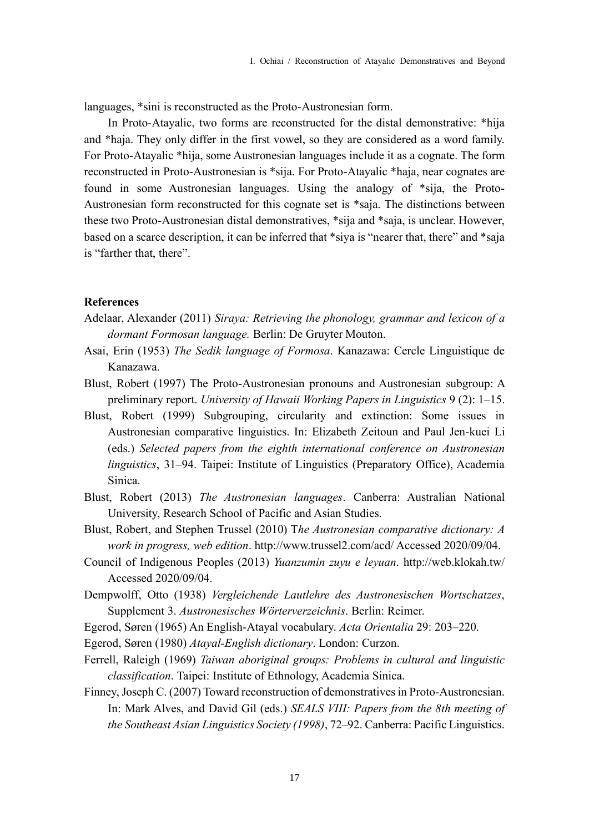languages, \*sini is reconstructed as the Proto-Austronesian form.

 In Proto-Atayalic, two forms are reconstructed for the distal demonstrative: \*hija and \*haja. They only differ in the first vowel, so they are considered as a word family. For Proto-Atayalic \*hija, some Austronesian languages include it as a cognate. The form reconstructed in Proto-Austronesian is \*sija. For Proto-Atayalic \*haja, near cognates are found in some Austronesian languages. Using the analogy of \*sija, the Proto-Austronesian form reconstructed for this cognate set is \*saja. The distinctions between these two Proto-Austronesian distal demonstratives, \*sija and \*saja, is unclear. However, based on a scarce description, it can be inferred that \*siya is "nearer that, there" and \*saja is "farther that, there".

#### **References**

- Adelaar, Alexander (2011) *Siraya: Retrieving the phonology, grammar and lexicon of a dormant Formosan language.* Berlin: De Gruyter Mouton.
- Asai, Erin (1953) *The Sedik language of Formosa*. Kanazawa: Cercle Linguistique de Kanazawa.
- Blust, Robert (1997) The Proto-Austronesian pronouns and Austronesian subgroup: A preliminary report. *University of Hawaii Working Papers in Linguistics* 9 (2): 1–15.
- Blust, Robert (1999) Subgrouping, circularity and extinction: Some issues in Austronesian comparative linguistics. In: Elizabeth Zeitoun and Paul Jen-kuei Li (eds.) *Selected papers from the eighth international conference on Austronesian linguistics*, 31–94. Taipei: Institute of Linguistics (Preparatory Office), Academia Sinica.
- Blust, Robert (2013) *The Austronesian languages*. Canberra: Australian National University, Research School of Pacific and Asian Studies.
- Blust, Robert, and Stephen Trussel (2010) T*he Austronesian comparative dictionary: A work in progress, web edition*. http://www.trussel2.com/acd/ Accessed 2020/09/04.
- Council of Indigenous Peoples (2013) *Yuanzumin zuyu e leyuan*.<http://web.klokah.tw/> Accessed 2020/09/04.
- Dempwolff, Otto (1938) *Vergleichende Lautlehre des Austronesischen Wortschatzes*, Supplement 3. *Austronesisches Wörterverzeichnis*. Berlin: Reimer.
- Egerod, Søren (1965) An English-Atayal vocabulary. *Acta Orientalia* 29: 203–220.
- Egerod, Søren (1980) *Atayal-English dictionary*. London: Curzon.
- Ferrell, Raleigh (1969) *Taiwan aboriginal groups: Problems in cultural and linguistic classification*. Taipei: Institute of Ethnology, Academia Sinica.
- Finney, Joseph C. (2007) Toward reconstruction of demonstratives in Proto-Austronesian. In: Mark Alves, and David Gil (eds.) *SEALS VIII: Papers from the 8th meeting of the Southeast Asian Linguistics Society (1998)*, 72–92. Canberra: Pacific Linguistics.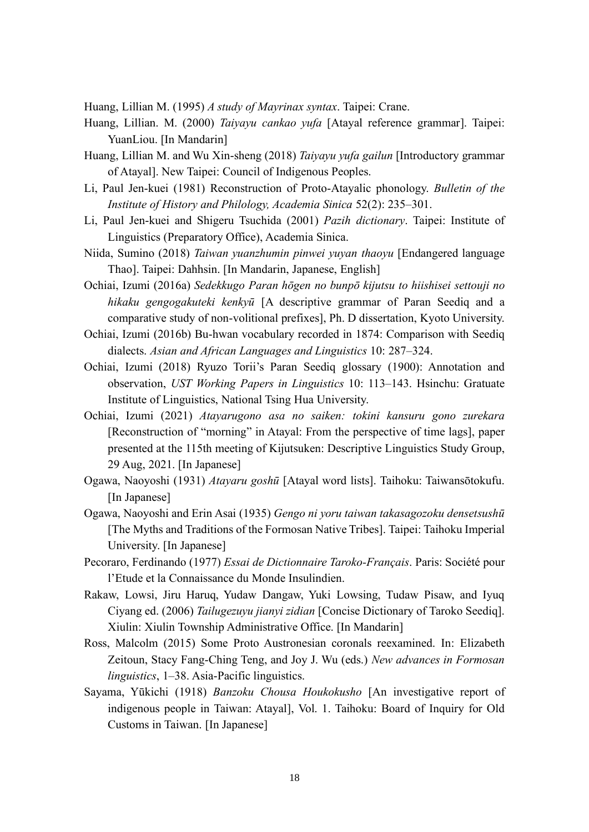Huang, Lillian M. (1995) *A study of Mayrinax syntax*. Taipei: Crane.

- Huang, Lillian. M. (2000) *Taiyayu cankao yufa* [Atayal reference grammar]. Taipei: YuanLiou. [In Mandarin]
- Huang, Lillian M. and Wu Xin-sheng (2018) *Taiyayu yufa gailun* [Introductory grammar of Atayal]. New Taipei: Council of Indigenous Peoples.
- Li, Paul Jen-kuei (1981) Reconstruction of Proto-Atayalic phonology. *Bulletin of the Institute of History and Philology, Academia Sinica* 52(2): 235–301.
- Li, Paul Jen-kuei and Shigeru Tsuchida (2001) *Pazih dictionary*. Taipei: Institute of Linguistics (Preparatory Office), Academia Sinica.
- Niida, Sumino (2018) *Taiwan yuanzhumin pinwei yuyan thaoyu* [Endangered language Thao]. Taipei: Dahhsin. [In Mandarin, Japanese, English]
- Ochiai, Izumi (2016a) *Sedekkugo Paran hōgen no bunpō kijutsu to hiishisei settouji no hikaku gengogakuteki kenkyū* [A descriptive grammar of Paran Seediq and a comparative study of non-volitional prefixes], Ph. D dissertation, Kyoto University.
- Ochiai, Izumi (2016b) Bu-hwan vocabulary recorded in 1874: Comparison with Seediq dialects. *Asian and African Languages and Linguistics* 10: 287–324.
- Ochiai, Izumi (2018) Ryuzo Torii's Paran Seediq glossary (1900): Annotation and observation, *UST Working Papers in Linguistics* 10: 113–143. Hsinchu: Gratuate Institute of Linguistics, National Tsing Hua University.
- Ochiai, Izumi (2021) *Atayarugono asa no saiken: tokini kansuru gono zurekara* [Reconstruction of "morning" in Atayal: From the perspective of time lags], paper presented at the 115th meeting of Kijutsuken: Descriptive Linguistics Study Group, 29 Aug, 2021. [In Japanese]
- Ogawa, Naoyoshi (1931) *Atayaru goshū* [Atayal word lists]. Taihoku: Taiwansōtokufu. [In Japanese]
- Ogawa, Naoyoshi and Erin Asai (1935) *Gengo ni yoru taiwan takasagozoku densetsushū* [The Myths and Traditions of the Formosan Native Tribes]. Taipei: Taihoku Imperial University. [In Japanese]
- Pecoraro, Ferdinando (1977) *Essai de Dictionnaire Taroko-Français*. Paris: Société pour l'Etude et la Connaissance du Monde Insulindien.
- Rakaw, Lowsi, Jiru Haruq, Yudaw Dangaw, Yuki Lowsing, Tudaw Pisaw, and Iyuq Ciyang ed. (2006) *Tailugezuyu jianyi zidian* [Concise Dictionary of Taroko Seediq]. Xiulin: Xiulin Township Administrative Office. [In Mandarin]
- Ross, Malcolm (2015) Some Proto Austronesian coronals reexamined. In: Elizabeth Zeitoun, Stacy Fang-Ching Teng, and Joy J. Wu (eds.) *New advances in Formosan linguistics*, 1–38. Asia-Pacific linguistics.
- Sayama, Yūkichi (1918) *Banzoku Chousa Houkokusho* [An investigative report of indigenous people in Taiwan: Atayal], Vol. 1. Taihoku: Board of Inquiry for Old Customs in Taiwan. [In Japanese]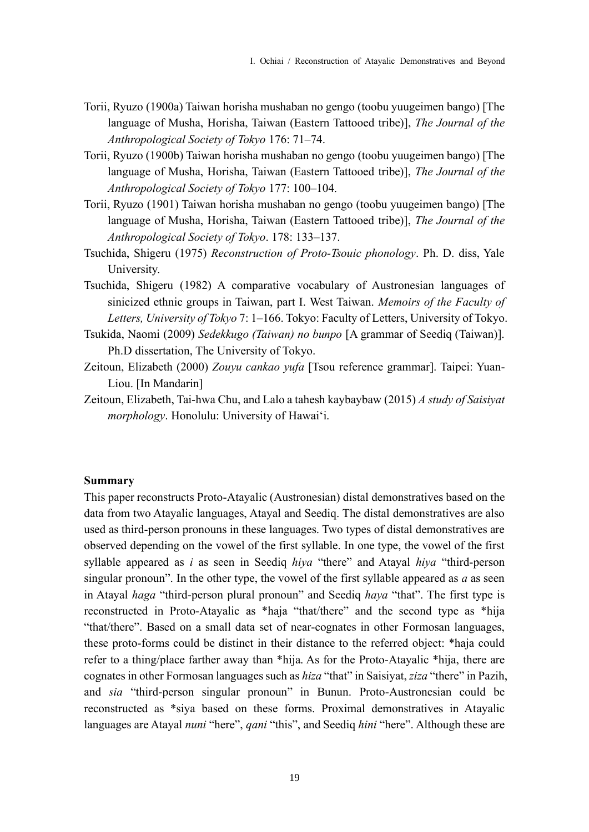- Torii, Ryuzo (1900a) Taiwan horisha mushaban no gengo (toobu yuugeimen bango) [The language of Musha, Horisha, Taiwan (Eastern Tattooed tribe)], *The Journal of the Anthropological Society of Tokyo* 176: 71–74.
- Torii, Ryuzo (1900b) Taiwan horisha mushaban no gengo (toobu yuugeimen bango) [The language of Musha, Horisha, Taiwan (Eastern Tattooed tribe)], *The Journal of the Anthropological Society of Tokyo* 177: 100–104.
- Torii, Ryuzo (1901) Taiwan horisha mushaban no gengo (toobu yuugeimen bango) [The language of Musha, Horisha, Taiwan (Eastern Tattooed tribe)], *The Journal of the Anthropological Society of Tokyo*. 178: 133–137.
- Tsuchida, Shigeru (1975) *Reconstruction of Proto-Tsouic phonology*. Ph. D. diss, Yale University.
- Tsuchida, Shigeru (1982) A comparative vocabulary of Austronesian languages of sinicized ethnic groups in Taiwan, part I. West Taiwan. *Memoirs of the Faculty of Letters, University of Tokyo* 7: 1–166. Tokyo: Faculty of Letters, University of Tokyo.
- Tsukida, Naomi (2009) *Sedekkugo (Taiwan) no bunpo* [A grammar of Seediq (Taiwan)]. Ph.D dissertation, The University of Tokyo.
- Zeitoun, Elizabeth (2000) *Zouyu cankao yufa* [Tsou reference grammar]. Taipei: Yuan-Liou. [In Mandarin]
- Zeitoun, Elizabeth, Tai-hwa Chu, and Lalo a tahesh kaybaybaw (2015) *A study of Saisiyat morphology*. Honolulu: University of Hawai'i.

#### **Summary**

This paper reconstructs Proto-Atayalic (Austronesian) distal demonstratives based on the data from two Atayalic languages, Atayal and Seediq. The distal demonstratives are also used as third-person pronouns in these languages. Two types of distal demonstratives are observed depending on the vowel of the first syllable. In one type, the vowel of the first syllable appeared as *i* as seen in Seediq *hiya* "there" and Atayal *hiya* "third-person singular pronoun". In the other type, the vowel of the first syllable appeared as *a* as seen in Atayal *haga* "third-person plural pronoun" and Seediq *haya* "that". The first type is reconstructed in Proto-Atayalic as \*haja "that/there" and the second type as \*hija "that/there". Based on a small data set of near-cognates in other Formosan languages, these proto-forms could be distinct in their distance to the referred object: \*haja could refer to a thing/place farther away than \*hija. As for the Proto-Atayalic \*hija, there are cognates in other Formosan languages such as *hiza* "that" in Saisiyat, *ziza* "there" in Pazih, and *sia* "third-person singular pronoun" in Bunun. Proto-Austronesian could be reconstructed as \*siya based on these forms. Proximal demonstratives in Atayalic languages are Atayal *nuni* "here", *qani* "this", and Seediq *hini* "here". Although these are